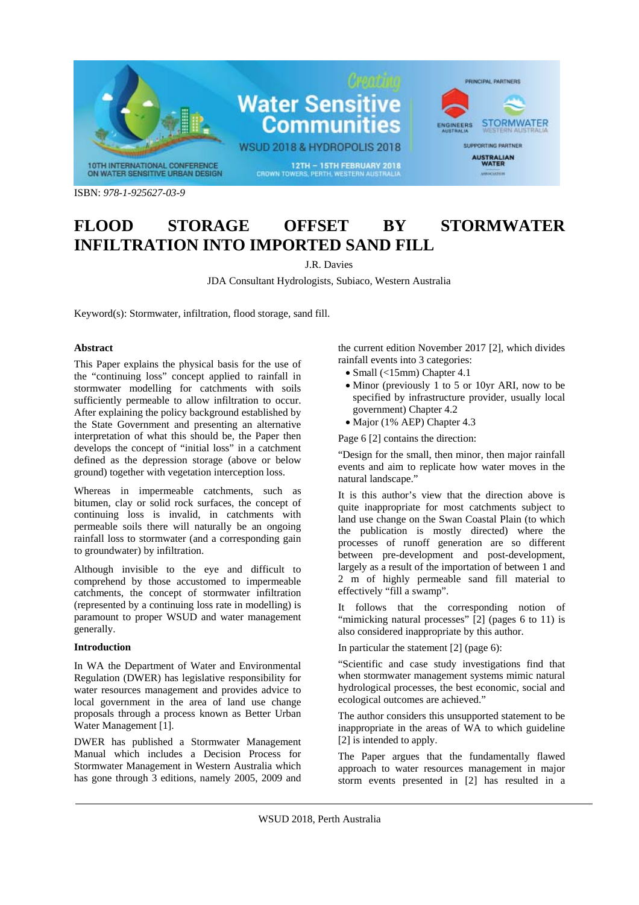

# **FLOOD STORAGE OFFSET BY STORMWATER INFILTRATION INTO IMPORTED SAND FILL**

J.R. Davies

JDA Consultant Hydrologists, Subiaco, Western Australia

Keyword(s): Stormwater, infiltration, flood storage, sand fill.

### **Abstract**

This Paper explains the physical basis for the use of the "continuing loss" concept applied to rainfall in stormwater modelling for catchments with soils sufficiently permeable to allow infiltration to occur. After explaining the policy background established by the State Government and presenting an alternative interpretation of what this should be, the Paper then develops the concept of "initial loss" in a catchment defined as the depression storage (above or below ground) together with vegetation interception loss.

Whereas in impermeable catchments, such as bitumen, clay or solid rock surfaces, the concept of continuing loss is invalid, in catchments with permeable soils there will naturally be an ongoing rainfall loss to stormwater (and a corresponding gain to groundwater) by infiltration.

Although invisible to the eye and difficult to comprehend by those accustomed to impermeable catchments, the concept of stormwater infiltration (represented by a continuing loss rate in modelling) is paramount to proper WSUD and water management generally.

# **Introduction**

In WA the Department of Water and Environmental Regulation (DWER) has legislative responsibility for water resources management and provides advice to local government in the area of land use change proposals through a process known as Better Urban Water Management [1].

DWER has published a Stormwater Management Manual which includes a Decision Process for Stormwater Management in Western Australia which has gone through 3 editions, namely 2005, 2009 and

the current edition November 2017 [2], which divides rainfall events into 3 categories:

- Small (<15mm) Chapter 4.1
- Minor (previously 1 to 5 or 10yr ARI, now to be specified by infrastructure provider, usually local government) Chapter 4.2
- Major (1% AEP) Chapter 4.3

Page 6 [2] contains the direction:

"Design for the small, then minor, then major rainfall events and aim to replicate how water moves in the natural landscape."

It is this author's view that the direction above is quite inappropriate for most catchments subject to land use change on the Swan Coastal Plain (to which the publication is mostly directed) where the processes of runoff generation are so different between pre-development and post-development, largely as a result of the importation of between 1 and 2 m of highly permeable sand fill material to effectively "fill a swamp".

It follows that the corresponding notion of "mimicking natural processes" [2] (pages 6 to 11) is also considered inappropriate by this author.

In particular the statement [2] (page 6):

"Scientific and case study investigations find that when stormwater management systems mimic natural hydrological processes, the best economic, social and ecological outcomes are achieved."

The author considers this unsupported statement to be inappropriate in the areas of WA to which guideline [2] is intended to apply.

The Paper argues that the fundamentally flawed approach to water resources management in major storm events presented in [2] has resulted in a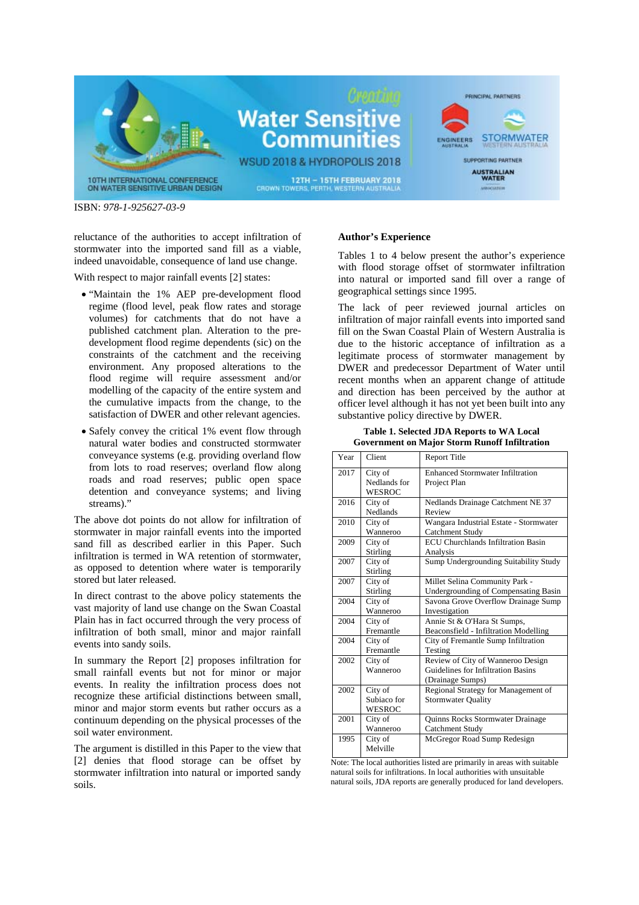

reluctance of the authorities to accept infiltration of stormwater into the imported sand fill as a viable, indeed unavoidable, consequence of land use change.

With respect to major rainfall events [2] states:

- "Maintain the 1% AEP pre-development flood regime (flood level, peak flow rates and storage volumes) for catchments that do not have a published catchment plan. Alteration to the predevelopment flood regime dependents (sic) on the constraints of the catchment and the receiving environment. Any proposed alterations to the flood regime will require assessment and/or modelling of the capacity of the entire system and the cumulative impacts from the change, to the satisfaction of DWER and other relevant agencies.
- Safely convey the critical 1% event flow through natural water bodies and constructed stormwater conveyance systems (e.g. providing overland flow from lots to road reserves; overland flow along roads and road reserves; public open space detention and conveyance systems; and living streams)."

The above dot points do not allow for infiltration of stormwater in major rainfall events into the imported sand fill as described earlier in this Paper. Such infiltration is termed in WA retention of stormwater, as opposed to detention where water is temporarily stored but later released.

In direct contrast to the above policy statements the vast majority of land use change on the Swan Coastal Plain has in fact occurred through the very process of infiltration of both small, minor and major rainfall events into sandy soils.

In summary the Report [2] proposes infiltration for small rainfall events but not for minor or major events. In reality the infiltration process does not recognize these artificial distinctions between small, minor and major storm events but rather occurs as a continuum depending on the physical processes of the soil water environment.

The argument is distilled in this Paper to the view that [2] denies that flood storage can be offset by stormwater infiltration into natural or imported sandy soils.

#### **Author's Experience**

Tables 1 to 4 below present the author's experience with flood storage offset of stormwater infiltration into natural or imported sand fill over a range of geographical settings since 1995.

The lack of peer reviewed journal articles on infiltration of major rainfall events into imported sand fill on the Swan Coastal Plain of Western Australia is due to the historic acceptance of infiltration as a legitimate process of stormwater management by DWER and predecessor Department of Water until recent months when an apparent change of attitude and direction has been perceived by the author at officer level although it has not yet been built into any substantive policy directive by DWER.

**Table 1. Selected JDA Reports to WA Local Government on Major Storm Runoff Infiltration** 

| Year | Client                            | <b>Report Title</b>                                                                         |
|------|-----------------------------------|---------------------------------------------------------------------------------------------|
| 2017 | City of<br>Nedlands for<br>WESROC | <b>Enhanced Stormwater Infiltration</b><br>Project Plan                                     |
| 2016 | City of<br><b>Nedlands</b>        | Nedlands Drainage Catchment NE 37<br>Review                                                 |
| 2010 | City of<br>Wanneroo               | Wangara Industrial Estate - Stormwater<br>Catchment Study                                   |
| 2009 | City of<br>Stirling               | <b>ECU</b> Churchlands Infiltration Basin<br>Analysis                                       |
| 2007 | City of<br>Stirling               | Sump Undergrounding Suitability Study                                                       |
| 2007 | City of<br>Stirling               | Millet Selina Community Park -<br>Undergrounding of Compensating Basin                      |
| 2004 | City of<br>Wanneroo               | Savona Grove Overflow Drainage Sump<br>Investigation                                        |
| 2004 | City of<br>Fremantle              | Annie St & O'Hara St Sumps,<br>Beaconsfield - Infiltration Modelling                        |
| 2004 | City of<br>Fremantle              | City of Fremantle Sump Infiltration<br>Testing                                              |
| 2002 | City of<br>Wanneroo               | Review of City of Wanneroo Design<br>Guidelines for Infiltration Basins<br>(Drainage Sumps) |
| 2002 | City of<br>Subiaco for<br>WESROC  | Regional Strategy for Management of<br><b>Stormwater Quality</b>                            |
| 2001 | City of<br>Wanneroo               | <b>Quinns Rocks Stormwater Drainage</b><br>Catchment Study                                  |
| 1995 | City of<br>Melville               | McGregor Road Sump Redesign                                                                 |

Note: The local authorities listed are primarily in areas with suitable natural soils for infiltrations. In local authorities with unsuitable natural soils, JDA reports are generally produced for land developers.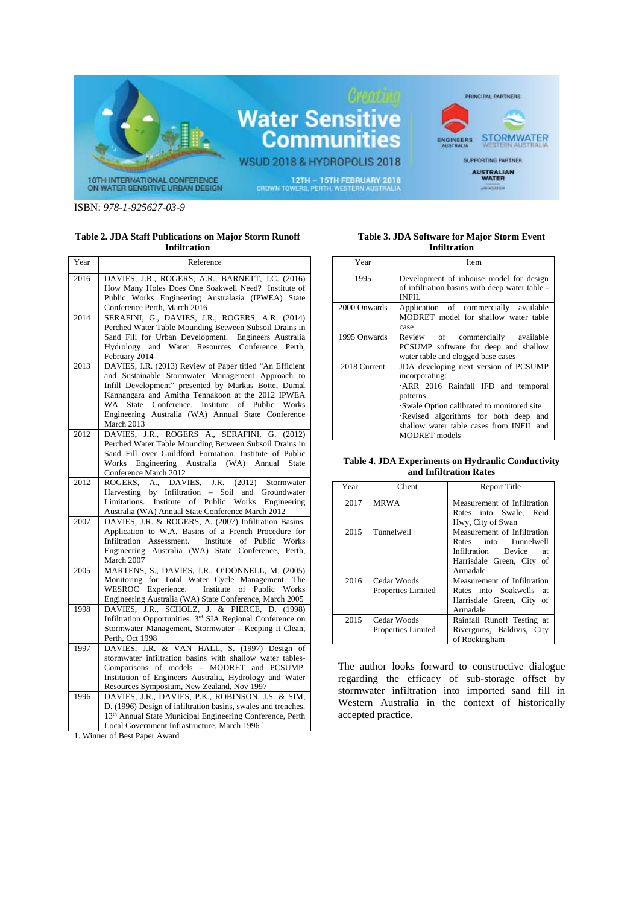

#### **Table 2. JDA Staff Publications on Major Storm Runoff Infiltration**

| Year | Reference                                                                                                                                                                                                                                                                                                                                           |  |  |
|------|-----------------------------------------------------------------------------------------------------------------------------------------------------------------------------------------------------------------------------------------------------------------------------------------------------------------------------------------------------|--|--|
| 2016 | DAVIES, J.R., ROGERS, A.R., BARNETT, J.C. (2016)<br>How Many Holes Does One Soakwell Need? Institute of<br>Public Works Engineering Australasia (IPWEA) State<br>Conference Perth, March 2016                                                                                                                                                       |  |  |
| 2014 | SERAFINI, G., DAVIES, J.R., ROGERS, A.R. (2014)<br>Perched Water Table Mounding Between Subsoil Drains in<br>Sand Fill for Urban Development. Engineers Australia<br>Hydrology and Water Resources Conference Perth,<br>February 2014                                                                                                               |  |  |
| 2013 | DAVIES, J.R. (2013) Review of Paper titled "An Efficient<br>and Sustainable Stormwater Management Approach to<br>Infill Development" presented by Markus Botte, Dumal<br>Kannangara and Amitha Tennakoon at the 2012 IPWEA<br>State Conference. Institute of Public Works<br>WA<br>Engineering Australia (WA) Annual State Conference<br>March 2013 |  |  |
| 2012 | DAVIES, J.R., ROGERS A., SERAFINI, G. (2012)<br>Perched Water Table Mounding Between Subsoil Drains in<br>Sand Fill over Guildford Formation. Institute of Public<br>Engineering Australia (WA) Annual<br>Works<br><b>State</b><br>Conference March 2012                                                                                            |  |  |
| 2012 | DAVIES,<br>ROGERS.<br>A.,<br>J.R.<br>(2012)<br>Stormwater<br>by Infiltration - Soil<br>Harvesting<br>and<br>Groundwater<br>Institute<br>Limitations.<br>of<br>Public<br>Works<br>Engineering<br>Australia (WA) Annual State Conference March 2012                                                                                                   |  |  |
| 2007 | DAVIES, J.R. & ROGERS, A. (2007) Infiltration Basins:<br>Application to W.A. Basins of a French Procedure for<br>Assessment.<br>Institute<br>of Public Works<br>Infiltration<br>Engineering Australia (WA) State Conference, Perth,<br>March 2007                                                                                                   |  |  |
| 2005 | MARTENS, S., DAVIES, J.R., O'DONNELL, M. (2005)<br>Monitoring for Total Water Cycle Management: The<br>WESROC Experience. Institute<br>of Public Works<br>Engineering Australia (WA) State Conference, March 2005                                                                                                                                   |  |  |
| 1998 | DAVIES, J.R., SCHOLZ, J. & PIERCE, D. (1998)<br>Infiltration Opportunities. 3 <sup>rd</sup> SIA Regional Conference on<br>Stormwater Management, Stormwater - Keeping it Clean,<br>Perth, Oct 1998                                                                                                                                                  |  |  |
| 1997 | DAVIES, J.R. & VAN HALL, S. (1997) Design of<br>stormwater infiltration basins with shallow water tables-<br>Comparisons of models - MODRET and PCSUMP.<br>Institution of Engineers Australia, Hydrology and Water<br>Resources Symposium, New Zealand, Nov 1997                                                                                    |  |  |
| 1996 | DAVIES, J.R., DAVIES, P.K., ROBINSON, J.S. & SIM,<br>D. (1996) Design of infiltration basins, swales and trenches.<br>13 <sup>th</sup> Annual State Municipal Engineering Conference, Perth<br>Local Government Infrastructure, March 1996 <sup>1</sup>                                                                                             |  |  |

1. Winner of Best Paper Award

#### **Table 3. JDA Software for Major Storm Event Infiltration**

| Year         | Item                                                                                                                                                                                                                                                               |
|--------------|--------------------------------------------------------------------------------------------------------------------------------------------------------------------------------------------------------------------------------------------------------------------|
| 1995         | Development of inhouse model for design<br>of infiltration basins with deep water table -<br><b>INFIL</b>                                                                                                                                                          |
| 2000 Onwards | Application of commercially available<br>MODRET model for shallow water table<br>case                                                                                                                                                                              |
| 1995 Onwards | Review of commercially available<br>PCSUMP software for deep and shallow<br>water table and clogged base cases                                                                                                                                                     |
| 2018 Current | JDA developing next version of PCSUMP<br>incorporating:<br>ARR 2016 Rainfall IFD and temporal<br>patterns<br>Swale Option calibrated to monitored site<br>Revised algorithms for both deep and<br>shallow water table cases from INFIL and<br><b>MODRET</b> models |

#### **Table 4. JDA Experiments on Hydraulic Conductivity and Infiltration Rates**

| Year | Client             | <b>Report Title</b>               |
|------|--------------------|-----------------------------------|
| 2017 | <b>MRWA</b>        | Measurement of Infiltration       |
|      |                    | Rates into Swale. Reid            |
|      |                    | Hwy, City of Swan                 |
| 2015 | Tunnelwell         | Measurement of Infiltration       |
|      |                    | Rates into Tunnelwell             |
|      |                    | Infiltration Device<br>at.        |
|      |                    | Harrisdale Green, City<br>οf      |
|      |                    | Armadale                          |
| 2016 | Cedar Woods        | Measurement of Infiltration       |
|      | Properties Limited | Rates into Soakwells<br><b>at</b> |
|      |                    | Harrisdale Green, City<br>οf      |
|      |                    | Armadale                          |
| 2015 | Cedar Woods        | Rainfall Runoff Testing at        |
|      | Properties Limited | Rivergums, Baldivis, City         |
|      |                    | of Rockingham                     |

The author looks forward to constructive dialogue regarding the efficacy of sub-storage offset by stormwater infiltration into imported sand fill in Western Australia in the context of historically accepted practice.